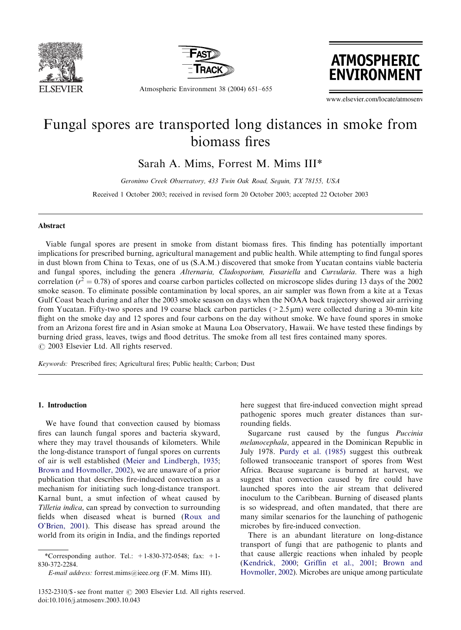



Atmospheric Environment 38 (2004) 651–655

**ATMOSPHERIC FNVTRONMENT** 

www.elsevier.com/locate/atmoseny

# Fungal spores are transported long distances in smoke from biomass fires

Sarah A. Mims, Forrest M. Mims III\*

Geronimo Creek Observatory, 433 Twin Oak Road, Seguin, TX 78155, USA

Received 1 October 2003; received in revised form 20 October 2003; accepted 22 October 2003

## Abstract

Viable fungal spores are present in smoke from distant biomass fires. This finding has potentially important implications for prescribed burning, agricultural management and public health. While attempting to find fungal spores in dust blown from China to Texas, one of us (S.A.M.) discovered that smoke from Yucatan contains viable bacteria and fungal spores, including the genera Alternaria, Cladosporium, Fusariella and Curvularia. There was a high correlation ( $r^2 = 0.78$ ) of spores and coarse carbon particles collected on microscope slides during 13 days of the 2002 smoke season. To eliminate possible contamination by local spores, an air sampler was flown from a kite at a Texas Gulf Coast beach during and after the 2003 smoke season on days when the NOAA back trajectory showed air arriving from Yucatan. Fifty-two spores and 19 coarse black carbon particles ( $>2.5 \,\mu$ m) were collected during a 30-min kite flight on the smoke day and 12 spores and four carbons on the day without smoke. We have found spores in smoke from an Arizona forest fire and in Asian smoke at Mauna Loa Observatory, Hawaii. We have tested these findings by burning dried grass, leaves, twigs and flood detritus. The smoke from all test fires contained many spores.  $\odot$  2003 Elsevier Ltd. All rights reserved.

Keywords: Prescribed fires; Agricultural fires; Public health; Carbon; Dust

### 1. Introduction

We have found that convection caused by biomass fires can launch fungal spores and bacteria skyward, where they may travel thousands of kilometers. While the long-distance transport of fungal spores on currents of air is well established ([Meier and Lindbergh, 1935;](#page-4-0) [Brown and Hovmoller, 2002\)](#page-3-0), we are unaware of a prior publication that describes fire-induced convection as a mechanism for initiating such long-distance transport. Karnal bunt, a smut infection of wheat caused by Tilletia indica, can spread by convection to surrounding fields when diseased wheat is burned [\(Roux and](#page-4-0) [O'Brien, 2001\)](#page-4-0). This disease has spread around the world from its origin in India, and the findings reported

here suggest that fire-induced convection might spread pathogenic spores much greater distances than surrounding fields.

Sugarcane rust caused by the fungus Puccinia melanocephala, appeared in the Dominican Republic in July 1978. [Purdy et al. \(1985\)](#page-4-0) suggest this outbreak followed transoceanic transport of spores from West Africa. Because sugarcane is burned at harvest, we suggest that convection caused by fire could have launched spores into the air stream that delivered inoculum to the Caribbean. Burning of diseased plants is so widespread, and often mandated, that there are many similar scenarios for the launching of pathogenic microbes by fire-induced convection.

There is an abundant literature on long-distance transport of fungi that are pathogenic to plants and that cause allergic reactions when inhaled by people ([Kendrick, 2000](#page-3-0); [Griffin et al., 2001;](#page-3-0) [Brown and](#page-3-0) [Hovmoller, 2002\)](#page-3-0). Microbes are unique among particulate

<sup>\*</sup>Corresponding author. Tel.:  $+1-830-372-0548$ ; fax:  $+1-$ 830-372-2284.

E-mail address: forrest.mims@ieee.org (F.M. Mims III).

<sup>1352-2310/\$ -</sup> see front matter  $\odot$  2003 Elsevier Ltd. All rights reserved. doi:10.1016/j.atmosenv.2003.10.043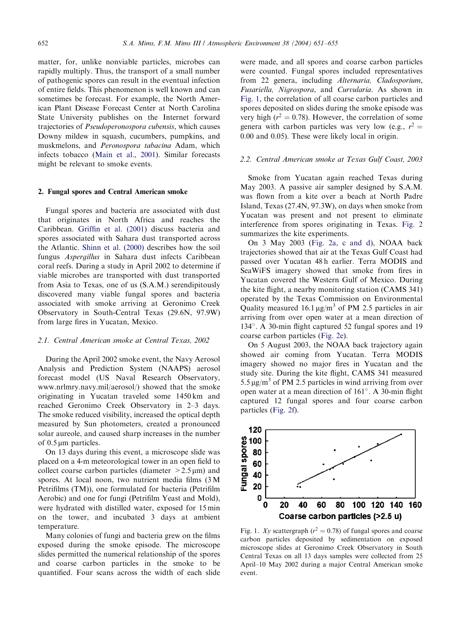matter, for, unlike nonviable particles, microbes can rapidly multiply. Thus, the transport of a small number of pathogenic spores can result in the eventual infection of entire fields. This phenomenon is well known and can sometimes be forecast. For example, the North American Plant Disease Forecast Center at North Carolina State University publishes on the Internet forward trajectories of Pseudoperonospora cubensis, which causes Downy mildew in squash, cucumbers, pumpkins, and muskmelons, and Peronospora tabacina Adam, which infects tobacco [\(Main et al., 2001\)](#page-3-0). Similar forecasts might be relevant to smoke events.

#### 2. Fungal spores and Central American smoke

Fungal spores and bacteria are associated with dust that originates in North Africa and reaches the Caribbean. [Griffin et al. \(2001\)](#page-3-0) discuss bacteria and spores associated with Sahara dust transported across the Atlantic. [Shinn et al. \(2000\)](#page-4-0) describes how the soil fungus Aspergillus in Sahara dust infects Caribbean coral reefs. During a study in April 2002 to determine if viable microbes are transported with dust transported from Asia to Texas, one of us (S.A.M.) serendipitously discovered many viable fungal spores and bacteria associated with smoke arriving at Geronimo Creek Observatory in South-Central Texas (29.6N, 97.9W) from large fires in Yucatan, Mexico.

### 2.1. Central American smoke at Central Texas, 2002

During the April 2002 smoke event, the Navy Aerosol Analysis and Prediction System (NAAPS) aerosol forecast model (US Naval Research Observatory, www.nrlmry.navy.mil/aerosol/) showed that the smoke originating in Yucatan traveled some 1450 km and reached Geronimo Creek Observatory in 2–3 days. The smoke reduced visibility, increased the optical depth measured by Sun photometers, created a pronounced solar aureole, and caused sharp increases in the number of 0.5 um particles.

On 13 days during this event, a microscope slide was placed on a 4-m meteorological tower in an open field to collect coarse carbon particles (diameter  $> 2.5 \,\text{\textmu m}$ ) and spores. At local noon, two nutrient media films (3 M Petrifilms (TM)), one formulated for bacteria (Petrifilm Aerobic) and one for fungi (Petrifilm Yeast and Mold), were hydrated with distilled water, exposed for 15 min on the tower, and incubated 3 days at ambient temperature.

Many colonies of fungi and bacteria grew on the films exposed during the smoke episode. The microscope slides permitted the numerical relationship of the spores and coarse carbon particles in the smoke to be quantified. Four scans across the width of each slide

were made, and all spores and coarse carbon particles were counted. Fungal spores included representatives from 22 genera, including Alternaria, Cladosporium, Fusariella, Nigrospora, and Curvularia. As shown in Fig. 1, the correlation of all coarse carbon particles and spores deposited on slides during the smoke episode was very high ( $r^2 = 0.78$ ). However, the correlation of some genera with carbon particles was very low (e.g.,  $r^2 =$ 0:00 and 0.05). These were likely local in origin.

#### 2.2. Central American smoke at Texas Gulf Coast, 2003

Smoke from Yucatan again reached Texas during May 2003. A passive air sampler designed by S.A.M. was flown from a kite over a beach at North Padre Island, Texas (27.4N, 97.3W), on days when smoke from Yucatan was present and not present to eliminate interference from spores originating in Texas. [Fig. 2](#page-2-0) summarizes the kite experiments.

On 3 May 2003 ([Fig. 2a, c and d](#page-2-0)), NOAA back trajectories showed that air at the Texas Gulf Coast had passed over Yucatan 48 h earlier. Terra MODIS and SeaWiFS imagery showed that smoke from fires in Yucatan covered the Western Gulf of Mexico. During the kite flight, a nearby monitoring station (CAMS 341) operated by the Texas Commission on Environmental Quality measured  $16.1 \,\mu g/m^3$  of PM 2.5 particles in air arriving from over open water at a mean direction of 134°. A 30-min flight captured 52 fungal spores and 19 coarse carbon particles ([Fig. 2e\)](#page-2-0).

On 5 August 2003, the NOAA back trajectory again showed air coming from Yucatan. Terra MODIS imagery showed no major fires in Yucatan and the study site. During the kite flight, CAMS 341 measured  $5.5 \,\mu$ g/m<sup>3</sup> of PM 2.5 particles in wind arriving from over open water at a mean direction of 161°. A 30-min flight captured 12 fungal spores and four coarse carbon particles ([Fig. 2f\)](#page-2-0).



Fig. 1. Xy scattergraph ( $r^2 = 0.78$ ) of fungal spores and coarse carbon particles deposited by sedimentation on exposed microscope slides at Geronimo Creek Observatory in South Central Texas on all 13 days samples were collected from 25 April–10 May 2002 during a major Central American smoke event.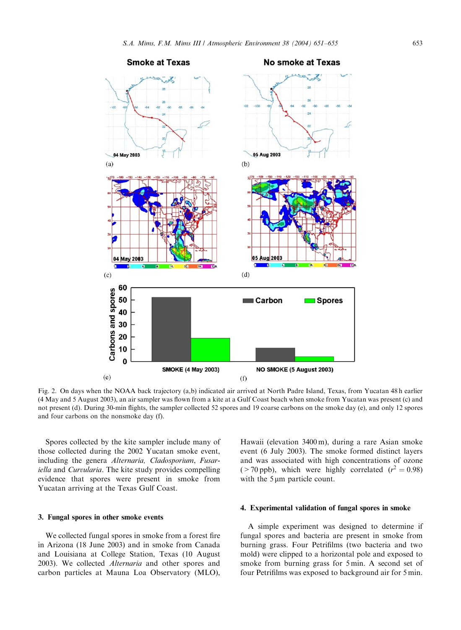<span id="page-2-0"></span>

Fig. 2. On days when the NOAA back trajectory (a,b) indicated air arrived at North Padre Island, Texas, from Yucatan 48 h earlier (4 May and 5 August 2003), an air sampler was flown from a kite at a Gulf Coast beach when smoke from Yucatan was present (c) and not present (d). During 30-min flights, the sampler collected 52 spores and 19 coarse carbons on the smoke day (e), and only 12 spores and four carbons on the nonsmoke day (f).

Spores collected by the kite sampler include many of those collected during the 2002 Yucatan smoke event, including the genera Alternaria, Cladosporium, Fusariella and Curvularia. The kite study provides compelling evidence that spores were present in smoke from Yucatan arriving at the Texas Gulf Coast.

## 3. Fungal spores in other smoke events

We collected fungal spores in smoke from a forest fire in Arizona (18 June 2003) and in smoke from Canada and Louisiana at College Station, Texas (10 August 2003). We collected Alternaria and other spores and carbon particles at Mauna Loa Observatory (MLO),

Hawaii (elevation 3400 m), during a rare Asian smoke event (6 July 2003). The smoke formed distinct layers and was associated with high concentrations of ozone ( $>70$  ppb), which were highly correlated ( $r^2 = 0.98$ ) with the  $5 \mu m$  particle count.

## 4. Experimental validation of fungal spores in smoke

A simple experiment was designed to determine if fungal spores and bacteria are present in smoke from burning grass. Four Petrifilms (two bacteria and two mold) were clipped to a horizontal pole and exposed to smoke from burning grass for 5 min. A second set of four Petrifilms was exposed to background air for 5 min.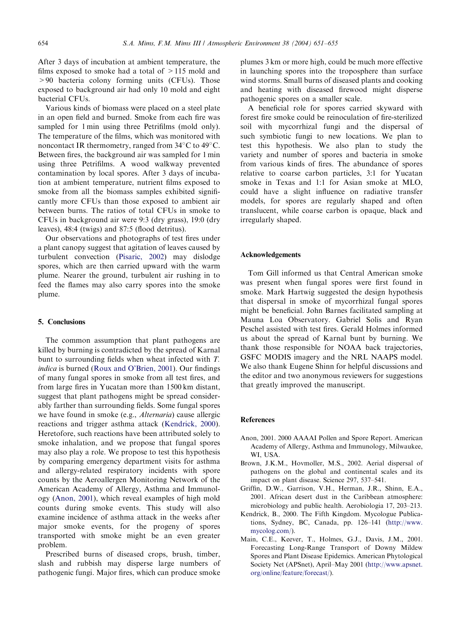<span id="page-3-0"></span>After 3 days of incubation at ambient temperature, the films exposed to smoke had a total of >115 mold and >90 bacteria colony forming units (CFUs). Those exposed to background air had only 10 mold and eight bacterial CFUs.

Various kinds of biomass were placed on a steel plate in an open field and burned. Smoke from each fire was sampled for 1 min using three Petrifilms (mold only). The temperature of the films, which was monitored with noncontact IR thermometry, ranged from  $34^{\circ}$ C to  $49^{\circ}$ C. Between fires, the background air was sampled for 1 min using three Petrifilms. A wood walkway prevented contamination by local spores. After 3 days of incubation at ambient temperature, nutrient films exposed to smoke from all the biomass samples exhibited significantly more CFUs than those exposed to ambient air between burns. The ratios of total CFUs in smoke to CFUs in background air were 9:3 (dry grass), 19:0 (dry leaves), 48:4 (twigs) and 87:5 (flood detritus).

Our observations and photographs of test fires under a plant canopy suggest that agitation of leaves caused by turbulent convection [\(Pisaric, 2002\)](#page-4-0) may dislodge spores, which are then carried upward with the warm plume. Nearer the ground, turbulent air rushing in to feed the flames may also carry spores into the smoke plume.

## 5. Conclusions

The common assumption that plant pathogens are killed by burning is contradicted by the spread of Karnal bunt to surrounding fields when wheat infected with T. indica is burned ([Roux and O'Brien, 2001](#page-4-0)). Our findings of many fungal spores in smoke from all test fires, and from large fires in Yucatan more than 1500 km distant, suggest that plant pathogens might be spread considerably farther than surrounding fields. Some fungal spores we have found in smoke (e.g., Alternaria) cause allergic reactions and trigger asthma attack (Kendrick, 2000). Heretofore, such reactions have been attributed solely to smoke inhalation, and we propose that fungal spores may also play a role. We propose to test this hypothesis by comparing emergency department visits for asthma and allergy-related respiratory incidents with spore counts by the Aeroallergen Monitoring Network of the American Academy of Allergy, Asthma and Immunology (Anon, 2001), which reveal examples of high mold counts during smoke events. This study will also examine incidence of asthma attack in the weeks after major smoke events, for the progeny of spores transported with smoke might be an even greater problem.

Prescribed burns of diseased crops, brush, timber, slash and rubbish may disperse large numbers of pathogenic fungi. Major fires, which can produce smoke

plumes 3 km or more high, could be much more effective in launching spores into the troposphere than surface wind storms. Small burns of diseased plants and cooking and heating with diseased firewood might disperse pathogenic spores on a smaller scale.

A beneficial role for spores carried skyward with forest fire smoke could be reinoculation of fire-sterilized soil with mycorrhizal fungi and the dispersal of such symbiotic fungi to new locations. We plan to test this hypothesis. We also plan to study the variety and number of spores and bacteria in smoke from various kinds of fires. The abundance of spores relative to coarse carbon particles, 3:1 for Yucatan smoke in Texas and 1:1 for Asian smoke at MLO, could have a slight influence on radiative transfer models, for spores are regularly shaped and often translucent, while coarse carbon is opaque, black and irregularly shaped.

## Acknowledgements

Tom Gill informed us that Central American smoke was present when fungal spores were first found in smoke. Mark Hartwig suggested the design hypothesis that dispersal in smoke of mycorrhizal fungal spores might be beneficial. John Barnes facilitated sampling at Mauna Loa Observatory. Gabriel Solis and Ryan Peschel assisted with test fires. Gerald Holmes informed us about the spread of Karnal bunt by burning. We thank those responsible for NOAA back trajectories, GSFC MODIS imagery and the NRL NAAPS model. We also thank Eugene Shinn for helpful discussions and the editor and two anonymous reviewers for suggestions that greatly improved the manuscript.

#### References

- Anon, 2001. 2000 AAAAI Pollen and Spore Report. American Academy of Allergy, Asthma and Immunology, Milwaukee, WI, USA.
- Brown, J.K.M., Hovmoller, M.S., 2002. Aerial dispersal of pathogens on the global and continental scales and its impact on plant disease. Science 297, 537–541.
- Griffin, D.W., Garrison, V.H., Herman, J.R., Shinn, E.A., 2001. African desert dust in the Caribbean atmosphere: microbiology and public health. Aerobiologia 17, 203–213.
- Kendrick, B., 2000. The Fifth Kingdom. Mycologue Publications, Sydney, BC, Canada, pp. 126–141 [\(http://www.](http://www.mycolog.com/) [mycolog.com/](http://www.mycolog.com/)).
- Main, C.E., Keever, T., Holmes, G.J., Davis, J.M., 2001. Forecasting Long-Range Transport of Downy Mildew Spores and Plant Disease Epidemics. American Phytological Society Net (APSnet), April–May 2001 [\(http://www.apsnet.](http://www.apsnet.org/online/feature/forecast/) [org/online/feature/forecast/](http://www.apsnet.org/online/feature/forecast/)).